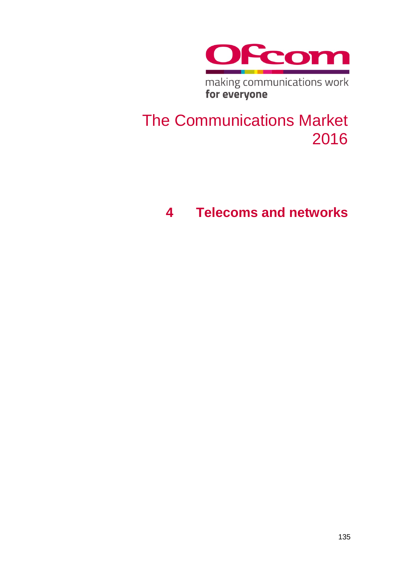

making communications work<br>for everyone

# The Communications Market 2016

# **4 Telecoms and networks**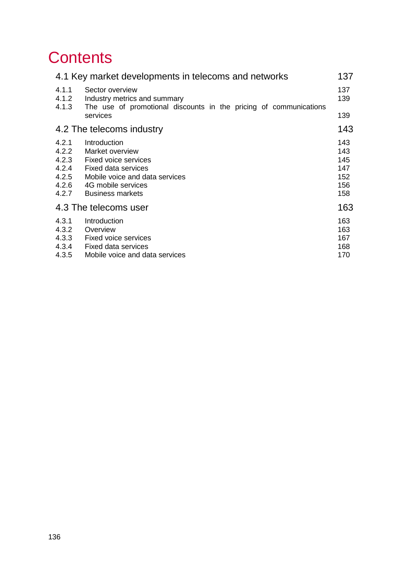# **Contents**

<span id="page-1-0"></span>

| 137                                           |
|-----------------------------------------------|
| 137<br>139                                    |
| 139                                           |
| 143                                           |
| 143<br>143<br>145<br>147<br>152<br>156<br>158 |
| 163                                           |
| 163<br>163<br>167<br>168<br>170               |
|                                               |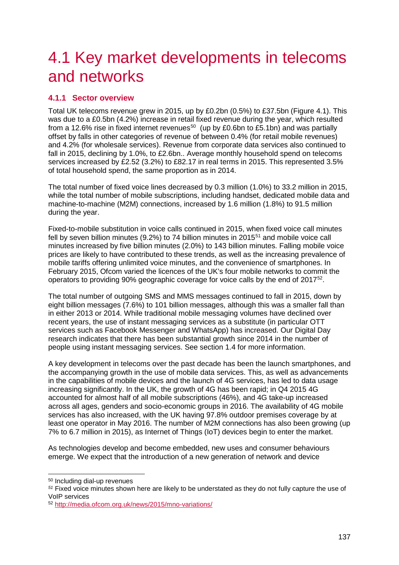# 4.1 Key market developments in telecoms and networks

# <span id="page-2-0"></span>**4.1.1 Sector overview**

Total UK telecoms revenue grew in 2015, up by £0.2bn (0.5%) to £37.5bn [\(Figure 4.1\)](#page-4-2). This was due to a £0.5bn (4.2%) increase in retail fixed revenue during the year, which resulted from a 12.6% rise in fixed internet revenues<sup>[50](#page-2-1)</sup> (up by £0.6bn to £5.1bn) and was partially offset by falls in other categories of revenue of between 0.4% (for retail mobile revenues) and 4.2% (for wholesale services). Revenue from corporate data services also continued to fall in 2015, declining by 1.0%, to £2.6bn.. Average monthly household spend on telecoms services increased by £2.52 (3.2%) to £82.17 in real terms in 2015. This represented 3.5% of total household spend, the same proportion as in 2014.

The total number of fixed voice lines decreased by 0.3 million (1.0%) to 33.2 million in 2015, while the total number of mobile subscriptions, including handset, dedicated mobile data and machine-to-machine (M2M) connections, increased by 1.6 million (1.8%) to 91.5 million during the year.

Fixed-to-mobile substitution in voice calls continued in 2015, when fixed voice call minutes fell by seven billion minutes  $(9.2%)$  to 74 billion minutes in 2015<sup>[51](#page-2-2)</sup> and mobile voice call minutes increased by five billion minutes (2.0%) to 143 billion minutes. Falling mobile voice prices are likely to have contributed to these trends, as well as the increasing prevalence of mobile tariffs offering unlimited voice minutes, and the convenience of smartphones. In February 2015, Ofcom varied the licences of the UK's four mobile networks to commit the operators to providing 90% geographic coverage for voice calls by the end of 2017[52](#page-2-3).

The total number of outgoing SMS and MMS messages continued to fall in 2015, down by eight billion messages (7.6%) to 101 billion messages, although this was a smaller fall than in either 2013 or 2014. While traditional mobile messaging volumes have declined over recent years, the use of instant messaging services as a substitute (in particular OTT services such as Facebook Messenger and WhatsApp) has increased. Our Digital Day research indicates that there has been substantial growth since 2014 in the number of people using instant messaging services. See section 1.4 for more information.

A key development in telecoms over the past decade has been the launch smartphones, and the accompanying growth in the use of mobile data services. This, as well as advancements in the capabilities of mobile devices and the launch of 4G services, has led to data usage increasing significantly. In the UK, the growth of 4G has been rapid; in Q4 2015 4G accounted for almost half of all mobile subscriptions (46%), and 4G take-up increased across all ages, genders and socio-economic groups in 2016. The availability of 4G mobile services has also increased, with the UK having 97.8% outdoor premises coverage by at least one operator in May 2016. The number of M2M connections has also been growing (up 7% to 6.7 million in 2015), as Internet of Things (IoT) devices begin to enter the market.

As technologies develop and become embedded, new uses and consumer behaviours emerge. We expect that the introduction of a new generation of network and device

<span id="page-2-1"></span>50 Including dial-up revenues

<span id="page-2-2"></span>*<sup>51</sup>* Fixed voice minutes shown here are likely to be understated as they do not fully capture the use of VoIP services

<span id="page-2-3"></span><sup>52</sup> <http://media.ofcom.org.uk/news/2015/mno-variations/>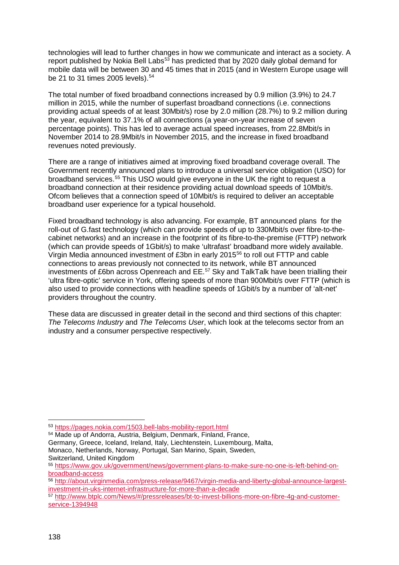technologies will lead to further changes in how we communicate and interact as a society. A report published by Nokia Bell Labs<sup>[53](#page-3-0)</sup> has predicted that by 2020 daily global demand for mobile data will be between 30 and 45 times that in 2015 (and in Western Europe usage will be 21 to 31 times 2005 levels). [54](#page-3-1)

The total number of fixed broadband connections increased by 0.9 million (3.9%) to 24.7 million in 2015, while the number of superfast broadband connections (i.e. connections providing actual speeds of at least 30Mbit/s) rose by 2.0 million (28.7%) to 9.2 million during the year, equivalent to 37.1% of all connections (a year-on-year increase of seven percentage points). This has led to average actual speed increases, from 22.8Mbit/s in November 2014 to 28.9Mbit/s in November 2015, and the increase in fixed broadband revenues noted previously.

There are a range of initiatives aimed at improving fixed broadband coverage overall. The Government recently announced plans to introduce a universal service obligation (USO) for broadband services.[55](#page-3-2) This USO would give everyone in the UK the right to request a broadband connection at their residence providing actual download speeds of 10Mbit/s. Ofcom believes that a connection speed of 10Mbit/s is required to deliver an acceptable broadband user experience for a typical household.

Fixed broadband technology is also advancing. For example, BT announced plans for the roll-out of G.fast technology (which can provide speeds of up to 330Mbit/s over fibre-to-thecabinet networks) and an increase in the footprint of its fibre-to-the-premise (FTTP) network (which can provide speeds of 1Gbit/s) to make 'ultrafast' broadband more widely available. Virgin Media announced investment of £3bn in early 2015[56](#page-3-3) to roll out FTTP and cable connections to areas previously not connected to its network, while BT announced investments of £6bn across Openreach and EE.[57](#page-3-4) Sky and TalkTalk have been trialling their 'ultra fibre-optic' service in York, offering speeds of more than 900Mbit/s over FTTP (which is also used to provide connections with headline speeds of 1Gbit/s by a number of 'alt-net' providers throughout the country.

These data are discussed in greater detail in the second and third sections of this chapter: *The Telecoms Industry* and *The Telecoms User*, which look at the telecoms sector from an industry and a consumer perspective respectively.

<span id="page-3-1"></span><sup>54</sup> Made up of Andorra, Austria, Belgium, Denmark, Finland, France, Germany, Greece, Iceland, Ireland, Italy, Liechtenstein, Luxembourg, Malta, Monaco, Netherlands, Norway, Portugal, San Marino, Spain, Sweden, Switzerland, United Kingdom

<span id="page-3-0"></span> <sup>53</sup> <https://pages.nokia.com/1503.bell-labs-mobility-report.html>

<span id="page-3-2"></span><sup>55</sup> [https://www.gov.uk/government/news/government-plans-to-make-sure-no-one-is-left-behind-on](https://www.gov.uk/government/news/government-plans-to-make-sure-no-one-is-left-behind-on-broadband-access)[broadband-access](https://www.gov.uk/government/news/government-plans-to-make-sure-no-one-is-left-behind-on-broadband-access)

<span id="page-3-3"></span><sup>56</sup> [http://about.virginmedia.com/press-release/9467/virgin-media-and-liberty-global-announce-largest](http://about.virginmedia.com/press-release/9467/virgin-media-and-liberty-global-announce-largest-investment-in-uks-internet-infrastructure-for-more-than-a-decade)[investment-in-uks-internet-infrastructure-for-more-than-a-decade](http://about.virginmedia.com/press-release/9467/virgin-media-and-liberty-global-announce-largest-investment-in-uks-internet-infrastructure-for-more-than-a-decade)

<span id="page-3-4"></span><sup>57</sup> [http://www.btplc.com/News/#/pressreleases/bt-to-invest-billions-more-on-fibre-4g-and-customer](http://www.btplc.com/News/#/pressreleases/bt-to-invest-billions-more-on-fibre-4g-and-customer-service-1394948)[service-1394948](http://www.btplc.com/News/#/pressreleases/bt-to-invest-billions-more-on-fibre-4g-and-customer-service-1394948)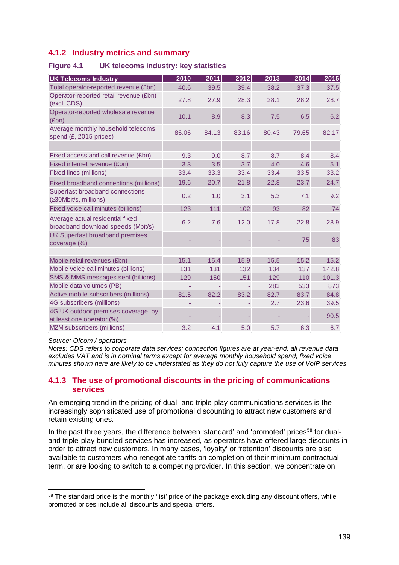# <span id="page-4-0"></span>**4.1.2 Industry metrics and summary**

<span id="page-4-2"></span>

| <b>Figure 4.1</b> | UK telecoms industry: key statistics |  |  |  |
|-------------------|--------------------------------------|--|--|--|
|-------------------|--------------------------------------|--|--|--|

| <b>UK Telecoms Industry</b>                                            | 2010  | 2011  | 2012  | 2013  | 2014  | 2015  |
|------------------------------------------------------------------------|-------|-------|-------|-------|-------|-------|
| Total operator-reported revenue (£bn)                                  | 40.6  | 39.5  | 39.4  | 38.2  | 37.3  | 37.5  |
| Operator-reported retail revenue (£bn)<br>(excl. CDS)                  | 27.8  | 27.9  | 28.3  | 28.1  | 28.2  | 28.7  |
| Operator-reported wholesale revenue<br>(Ebn)                           | 10.1  | 8.9   | 8.3   | 7.5   | 6.5   | 6.2   |
| Average monthly household telecoms<br>spend (£, 2015 prices)           | 86.06 | 84.13 | 83.16 | 80.43 | 79.65 | 82.17 |
|                                                                        |       |       |       |       |       |       |
| Fixed access and call revenue (£bn)                                    | 9.3   | 9.0   | 8.7   | 8.7   | 8.4   | 8.4   |
| Fixed internet revenue (£bn)                                           | 3.3   | 3.5   | 3.7   | 4.0   | 4.6   | 5.1   |
| <b>Fixed lines (millions)</b>                                          | 33.4  | 33.3  | 33.4  | 33.4  | 33.5  | 33.2  |
| Fixed broadband connections (millions)                                 | 19.6  | 20.7  | 21.8  | 22.8  | 23.7  | 24.7  |
| Superfast broadband connections<br>(≥30Mbit/s, millions)               | 0.2   | 1.0   | 3.1   | 5.3   | 7.1   | 9.2   |
| Fixed voice call minutes (billions)                                    | 123   | 111   | 102   | 93    | 82    | 74    |
| Average actual residential fixed<br>broadband download speeds (Mbit/s) | 6.2   | 7.6   | 12.0  | 17.8  | 22.8  | 28.9  |
| UK Superfast broadband premises<br>coverage (%)                        |       |       |       |       | 75    | 83    |
|                                                                        |       |       |       |       |       |       |
| Mobile retail revenues (£bn)                                           | 15.1  | 15.4  | 15.9  | 15.5  | 15.2  | 15.2  |
| Mobile voice call minutes (billions)                                   | 131   | 131   | 132   | 134   | 137   | 142.8 |
| SMS & MMS messages sent (billions)                                     | 129   | 150   | 151   | 129   | 110   | 101.3 |
| Mobile data volumes (PB)                                               |       |       |       | 283   | 533   | 873   |
| Active mobile subscribers (millions)                                   | 81.5  | 82.2  | 83.2  | 82.7  | 83.7  | 84.8  |
| 4G subscribers (millions)                                              |       |       |       | 2.7   | 23.6  | 39.5  |
| 4G UK outdoor premises coverage, by<br>at least one operator (%)       |       |       |       |       |       | 90.5  |
| M2M subscribers (millions)                                             | 3.2   | 4.1   | 5.0   | 5.7   | 6.3   | 6.7   |

#### *Source: Ofcom / operators*

*Notes: CDS refers to corporate data services; connection figures are at year-end; all revenue data excludes VAT and is in nominal terms except for average monthly household spend; fixed voice minutes shown here are likely to be understated as they do not fully capture the use of VoIP services.*

## <span id="page-4-1"></span>**4.1.3 The use of promotional discounts in the pricing of communications services**

An emerging trend in the pricing of dual- and triple-play communications services is the increasingly sophisticated use of promotional discounting to attract new customers and retain existing ones.

In the past three years, the difference between 'standard' and 'promoted' prices<sup>[58](#page-4-3)</sup> for dualand triple-play bundled services has increased, as operators have offered large discounts in order to attract new customers. In many cases, 'loyalty' or 'retention' discounts are also available to customers who renegotiate tariffs on completion of their minimum contractual term, or are looking to switch to a competing provider. In this section, we concentrate on

<span id="page-4-3"></span><sup>&</sup>lt;sup>58</sup> The standard price is the monthly 'list' price of the package excluding any discount offers, while promoted prices include all discounts and special offers.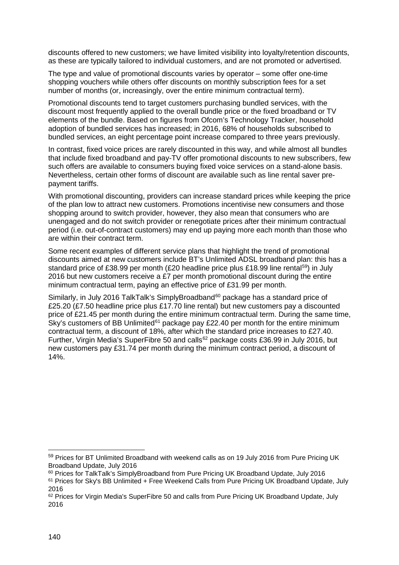discounts offered to new customers; we have limited visibility into loyalty/retention discounts, as these are typically tailored to individual customers, and are not promoted or advertised.

The type and value of promotional discounts varies by operator – some offer one-time shopping vouchers while others offer discounts on monthly subscription fees for a set number of months (or, increasingly, over the entire minimum contractual term).

Promotional discounts tend to target customers purchasing bundled services, with the discount most frequently applied to the overall bundle price or the fixed broadband or TV elements of the bundle. Based on figures from Ofcom's Technology Tracker, household adoption of bundled services has increased; in 2016, 68% of households subscribed to bundled services, an eight percentage point increase compared to three years previously.

In contrast, fixed voice prices are rarely discounted in this way, and while almost all bundles that include fixed broadband and pay-TV offer promotional discounts to new subscribers, few such offers are available to consumers buying fixed voice services on a stand-alone basis. Nevertheless, certain other forms of discount are available such as line rental saver prepayment tariffs.

With promotional discounting, providers can increase standard prices while keeping the price of the plan low to attract new customers. Promotions incentivise new consumers and those shopping around to switch provider, however, they also mean that consumers who are unengaged and do not switch provider or renegotiate prices after their minimum contractual period (i.e. out-of-contract customers) may end up paying more each month than those who are within their contract term.

Some recent examples of different service plans that highlight the trend of promotional discounts aimed at new customers include BT's Unlimited ADSL broadband plan: this has a standard price of £38.99 per month (£20 headline price plus £18.99 line rental<sup>59</sup>) in July 2016 but new customers receive a £7 per month promotional discount during the entire minimum contractual term, paying an effective price of £31.99 per month.

Similarly, in July 2016 TalkTalk's SimplyBroadband<sup>[60](#page-5-1)</sup> package has a standard price of £25.20 (£7.50 headline price plus £17.70 line rental) but new customers pay a discounted price of £21.45 per month during the entire minimum contractual term. During the same time, Sky's customers of BB Unlimited<sup>61</sup> package pay £22.40 per month for the entire minimum contractual term, a discount of 18%, after which the standard price increases to £27.40. Further, Virgin Media's SuperFibre 50 and calls<sup>[62](#page-5-3)</sup> package costs £36.99 in July 2016, but new customers pay £31.74 per month during the minimum contract period, a discount of 14%.

<span id="page-5-0"></span><sup>59</sup> Prices for BT Unlimited Broadband with weekend calls as on 19 July 2016 from Pure Pricing UK Broadband Update, July 2016

<span id="page-5-1"></span><sup>&</sup>lt;sup>60</sup> Prices for TalkTalk's SimplyBroadband from Pure Pricing UK Broadband Update, July 2016

<span id="page-5-2"></span><sup>61</sup> Prices for Sky's BB Unlimited + Free Weekend Calls from Pure Pricing UK Broadband Update, July 2016

<span id="page-5-3"></span><sup>&</sup>lt;sup>62</sup> Prices for Virgin Media's SuperFibre 50 and calls from Pure Pricing UK Broadband Update, July 2016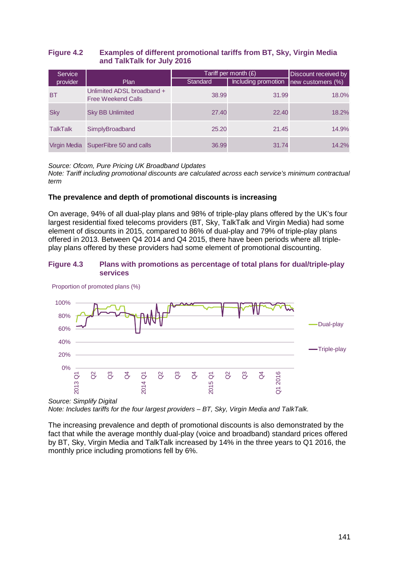## **Figure 4.2 Examples of different promotional tariffs from BT, Sky, Virgin Media and TalkTalk for July 2016**

| <b>Service</b> |                                                         | Tariff per month $(E)$ | Discount received by                  |       |
|----------------|---------------------------------------------------------|------------------------|---------------------------------------|-------|
| provider       | <b>Plan</b>                                             | <b>Standard</b>        | Including promotion new customers (%) |       |
| BT             | Unlimited ADSL broadband +<br><b>Free Weekend Calls</b> | 38.99                  | 31.99                                 | 18.0% |
| <b>Sky</b>     | <b>Sky BB Unlimited</b>                                 | 27.40                  | 22.40                                 | 18.2% |
| TalkTalk       | SimplyBroadband                                         | 25.20                  | 21.45                                 | 14.9% |
| Virgin Media   | SuperFibre 50 and calls                                 | 36.99                  | 31.74                                 | 14.2% |

*Source: Ofcom, Pure Pricing UK Broadband Updates Note: Tariff including promotional discounts are calculated across each service's minimum contractual* 

# **The prevalence and depth of promotional discounts is increasing**

On average, 94% of all dual-play plans and 98% of triple-play plans offered by the UK's four largest residential fixed telecoms providers (BT, Sky, TalkTalk and Virgin Media) had some element of discounts in 2015, compared to 86% of dual-play and 79% of triple-play plans offered in 2013. Between Q4 2014 and Q4 2015, there have been periods where all tripleplay plans offered by these providers had some element of promotional discounting.

## **Figure 4.3 Plans with promotions as percentage of total plans for dual/triple-play services**



Proportion of promoted plans (%)

*term*

*Source: Simplify Digital*

*Note: Includes tariffs for the four largest providers – BT, Sky, Virgin Media and TalkTalk.*

The increasing prevalence and depth of promotional discounts is also demonstrated by the fact that while the average monthly dual-play (voice and broadband) standard prices offered by BT, Sky, Virgin Media and TalkTalk increased by 14% in the three years to Q1 2016, the monthly price including promotions fell by 6%.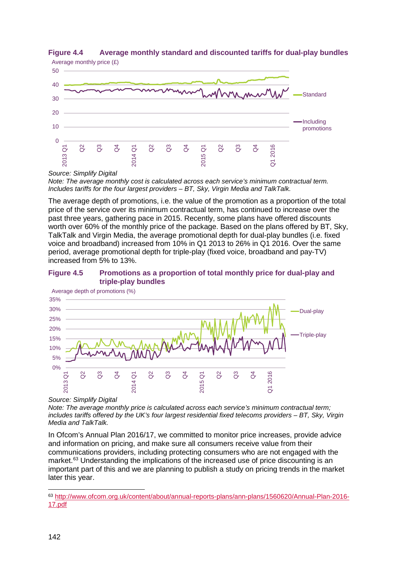



*Note: The average monthly cost is calculated across each service's minimum contractual term. Includes tariffs for the four largest providers – BT, Sky, Virgin Media and TalkTalk.*

The average depth of promotions, i.e. the value of the promotion as a proportion of the total price of the service over its minimum contractual term, has continued to increase over the past three years, gathering pace in 2015. Recently, some plans have offered discounts worth over 60% of the monthly price of the package. Based on the plans offered by BT, Sky, TalkTalk and Virgin Media, the average promotional depth for dual-play bundles (i.e. fixed voice and broadband) increased from 10% in Q1 2013 to 26% in Q1 2016. Over the same period, average promotional depth for triple-play (fixed voice, broadband and pay-TV) increased from 5% to 13%.

## **Figure 4.5 Promotions as a proportion of total monthly price for dual-play and triple-play bundles**



*Source: Simplify Digital*

*Note: The average monthly price is calculated across each service's minimum contractual term; includes tariffs offered by the UK's four largest residential fixed telecoms providers – BT, Sky, Virgin Media and TalkTalk.*

In Ofcom's Annual Plan 2016/17, we committed to monitor price increases, provide advice and information on pricing, and make sure all consumers receive value from their communications providers, including protecting consumers who are not engaged with the market. [63](#page-7-0) Understanding the implications of the increased use of price discounting is an important part of this and we are planning to publish a study on pricing trends in the market later this year.

*Source: Simplify Digital*

<span id="page-7-0"></span> <sup>63</sup> [http://www.ofcom.org.uk/content/about/annual-reports-plans/ann-plans/1560620/Annual-Plan-2016-](http://www.ofcom.org.uk/content/about/annual-reports-plans/ann-plans/1560620/Annual-Plan-2016-17.pdf) [17.pdf](http://www.ofcom.org.uk/content/about/annual-reports-plans/ann-plans/1560620/Annual-Plan-2016-17.pdf)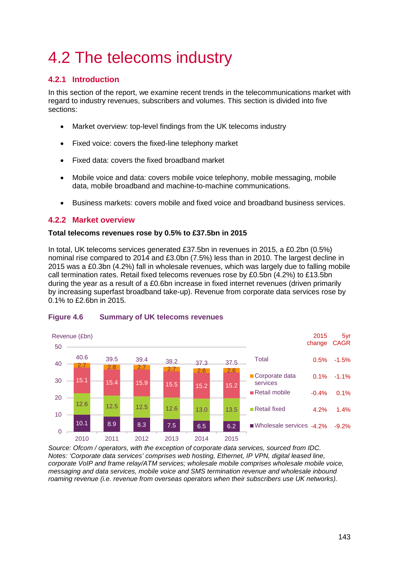# <span id="page-8-0"></span>4.2 The telecoms industry

# <span id="page-8-1"></span>**4.2.1 Introduction**

In this section of the report, we examine recent trends in the telecommunications market with regard to industry revenues, subscribers and volumes. This section is divided into five sections:

- Market overview: top-level findings from the UK telecoms industry
- Fixed voice: covers the fixed-line telephony market
- Fixed data: covers the fixed broadband market
- Mobile voice and data: covers mobile voice telephony, mobile messaging, mobile data, mobile broadband and machine-to-machine communications.
- Business markets: covers mobile and fixed voice and broadband business services.

## <span id="page-8-2"></span>**4.2.2 Market overview**

### **Total telecoms revenues rose by 0.5% to £37.5bn in 2015**

In total, UK telecoms services generated £37.5bn in revenues in 2015, a £0.2bn (0.5%) nominal rise compared to 2014 and £3.0bn (7.5%) less than in 2010. The largest decline in 2015 was a £0.3bn (4.2%) fall in wholesale revenues, which was largely due to falling mobile call termination rates. Retail fixed telecoms revenues rose by £0.5bn (4.2%) to £13.5bn during the year as a result of a £0.6bn increase in fixed internet revenues (driven primarily by increasing superfast broadband take-up). Revenue from corporate data services rose by 0.1% to £2.6bn in 2015.



## **Figure 4.6 Summary of UK telecoms revenues**

*Source: Ofcom / operators, with the exception of corporate data services, sourced from IDC. Notes: 'Corporate data services' comprises web hosting, Ethernet, IP VPN, digital leased line, corporate VoIP and frame relay/ATM services; wholesale mobile comprises wholesale mobile voice, messaging and data services, mobile voice and SMS termination revenue and wholesale inbound roaming revenue (i.e. revenue from overseas operators when their subscribers use UK networks).*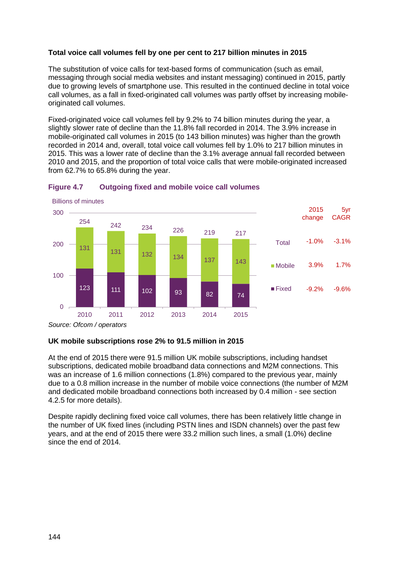## **Total voice call volumes fell by one per cent to 217 billion minutes in 2015**

The substitution of voice calls for text-based forms of communication (such as email, messaging through social media websites and instant messaging) continued in 2015, partly due to growing levels of smartphone use. This resulted in the continued decline in total voice call volumes, as a fall in fixed-originated call volumes was partly offset by increasing mobileoriginated call volumes.

Fixed-originated voice call volumes fell by 9.2% to 74 billion minutes during the year, a slightly slower rate of decline than the 11.8% fall recorded in 2014. The 3.9% increase in mobile-originated call volumes in 2015 (to 143 billion minutes) was higher than the growth recorded in 2014 and, overall, total voice call volumes fell by 1.0% to 217 billion minutes in 2015. This was a lower rate of decline than the 3.1% average annual fall recorded between 2010 and 2015, and the proportion of total voice calls that were mobile-originated increased from 62.7% to 65.8% during the year.



## <span id="page-9-0"></span>**Figure 4.7 Outgoing fixed and mobile voice call volumes**

*Source: Ofcom / operators*

#### **UK mobile subscriptions rose 2% to 91.5 million in 2015**

At the end of 2015 there were 91.5 million UK mobile subscriptions, including handset subscriptions, dedicated mobile broadband data connections and M2M connections. This was an increase of 1.6 million connections (1.8%) compared to the previous year, mainly due to a 0.8 million increase in the number of mobile voice connections (the number of M2M and dedicated mobile broadband connections both increased by 0.4 million - see section [4.2.5](#page-17-0) for more details).

Despite rapidly declining fixed voice call volumes, there has been relatively little change in the number of UK fixed lines (including PSTN lines and ISDN channels) over the past few years, and at the end of 2015 there were 33.2 million such lines, a small (1.0%) decline since the end of 2014.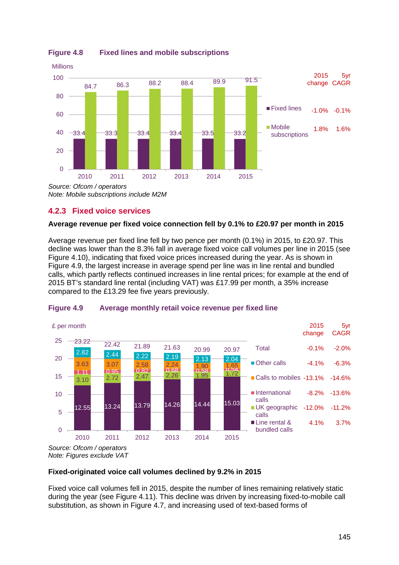

# **Figure 4.8 Fixed lines and mobile subscriptions**

# <span id="page-10-0"></span>**4.2.3 Fixed voice services**

## **Average revenue per fixed voice connection fell by 0.1% to £20.97 per month in 2015**

Average revenue per fixed line fell by two pence per month (0.1%) in 2015, to £20.97. This decline was lower than the 8.3% fall in average fixed voice call volumes per line in 2015 (see [Figure 4.10\)](#page-11-0), indicating that fixed voice prices increased during the year. As is shown in [Figure 4.9,](#page-10-1) the largest increase in average spend per line was in line rental and bundled calls, which partly reflects continued increases in line rental prices; for example at the end of 2015 BT's standard line rental (including VAT) was £17.99 per month, a 35% increase compared to the £13.29 fee five years previously.



## <span id="page-10-1"></span>**Figure 4.9 Average monthly retail voice revenue per fixed line**

*Note: Figures exclude VAT*

## **Fixed-originated voice call volumes declined by 9.2% in 2015**

Fixed voice call volumes fell in 2015, despite the number of lines remaining relatively static during the year (see [Figure 4.11\)](#page-12-1). This decline was driven by increasing fixed-to-mobile call substitution, as shown in [Figure 4.7,](#page-9-0) and increasing used of text-based forms of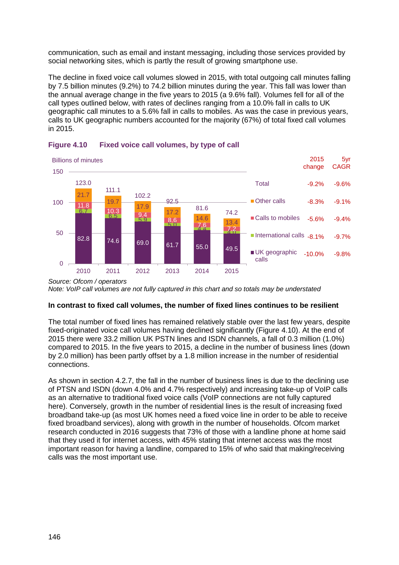communication, such as email and instant messaging, including those services provided by social networking sites, which is partly the result of growing smartphone use.

The decline in fixed voice call volumes slowed in 2015, with total outgoing call minutes falling by 7.5 billion minutes (9.2%) to 74.2 billion minutes during the year. This fall was lower than the annual average change in the five years to 2015 (a 9.6% fall). Volumes fell for all of the call types outlined below, with rates of declines ranging from a 10.0% fall in calls to UK geographic call minutes to a 5.6% fall in calls to mobiles. As was the case in previous years, calls to UK geographic numbers accounted for the majority (67%) of total fixed call volumes in 2015.



## <span id="page-11-0"></span>**Figure 4.10 Fixed voice call volumes, by type of call**

## **In contrast to fixed call volumes, the number of fixed lines continues to be resilient**

The total number of fixed lines has remained relatively stable over the last few years, despite fixed-originated voice call volumes having declined significantly [\(Figure 4.10\)](#page-11-0). At the end of 2015 there were 33.2 million UK PSTN lines and ISDN channels, a fall of 0.3 million (1.0%) compared to 2015. In the five years to 2015, a decline in the number of business lines (down by 2.0 million) has been partly offset by a 1.8 million increase in the number of residential connections.

As shown in section [4.2.7,](#page-23-0) the fall in the number of business lines is due to the declining use of PTSN and ISDN (down 4.0% and 4.7% respectively) and increasing take-up of VoIP calls as an alternative to traditional fixed voice calls (VoIP connections are not fully captured here). Conversely, growth in the number of residential lines is the result of increasing fixed broadband take-up (as most UK homes need a fixed voice line in order to be able to receive fixed broadband services), along with growth in the number of households. Ofcom market research conducted in 2016 suggests that 73% of those with a landline phone at home said that they used it for internet access, with 45% stating that internet access was the most important reason for having a landline, compared to 15% of who said that making/receiving calls was the most important use.

*Source: Ofcom / operators Note: VoIP call volumes are not fully captured in this chart and so totals may be understated*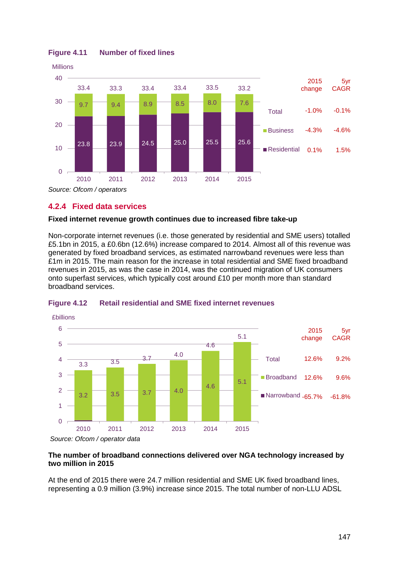

## <span id="page-12-1"></span>**Figure 4.11 Number of fixed lines**

<span id="page-12-0"></span>**4.2.4 Fixed data services**

## **Fixed internet revenue growth continues due to increased fibre take-up**

Non-corporate internet revenues (i.e. those generated by residential and SME users) totalled £5.1bn in 2015, a £0.6bn (12.6%) increase compared to 2014. Almost all of this revenue was generated by fixed broadband services, as estimated narrowband revenues were less than £1m in 2015. The main reason for the increase in total residential and SME fixed broadband revenues in 2015, as was the case in 2014, was the continued migration of UK consumers onto superfast services, which typically cost around £10 per month more than standard broadband services.



## **Figure 4.12 Retail residential and SME fixed internet revenues**

*Source: Ofcom / operator data*

### **The number of broadband connections delivered over NGA technology increased by two million in 2015**

At the end of 2015 there were 24.7 million residential and SME UK fixed broadband lines, representing a 0.9 million (3.9%) increase since 2015. The total number of non-LLU ADSL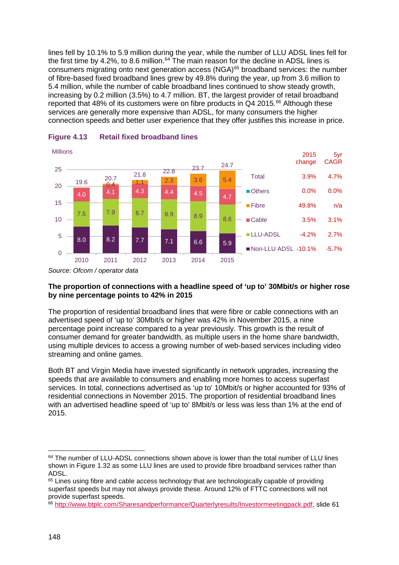lines fell by 10.1% to 5.9 million during the year, while the number of LLU ADSL lines fell for the first time by 4.2%, to 8.6 million.<sup>[64](#page-13-0)</sup> The main reason for the decline in ADSL lines is consumers migrating onto next generation access (NGA)<sup>[65](#page-13-1)</sup> broadband services: the number of fibre-based fixed broadband lines grew by 49.8% during the year, up from 3.6 million to 5.4 million, while the number of cable broadband lines continued to show steady growth, increasing by 0.2 million (3.5%) to 4.7 million. BT, the largest provider of retail broadband reported that 48% of its customers were on fibre products in  $Q4$  2015.<sup>[66](#page-13-2)</sup> Although these services are generally more expensive than ADSL, for many consumers the higher connection speeds and better user experience that they offer justifies this increase in price.



## **Figure 4.13 Retail fixed broadband lines**

## **The proportion of connections with a headline speed of 'up to' 30Mbit/s or higher rose by nine percentage points to 42% in 2015**

The proportion of residential broadband lines that were fibre or cable connections with an advertised speed of 'up to' 30Mbit/s or higher was 42% in November 2015, a nine percentage point increase compared to a year previously. This growth is the result of consumer demand for greater bandwidth, as multiple users in the home share bandwidth, using multiple devices to access a growing number of web-based services including video streaming and online games.

Both BT and Virgin Media have invested significantly in network upgrades, increasing the speeds that are available to consumers and enabling more homes to access superfast services. In total, connections advertised as 'up to' 10Mbit/s or higher accounted for 93% of residential connections in November 2015. The proportion of residential broadband lines with an advertised headline speed of 'up to' 8Mbit/s or less was less than 1% at the end of 2015.

*Source: Ofcom / operator data*

<span id="page-13-0"></span> $64$  The number of LLU-ADSL connections shown above is lower than the total number of LLU lines shown in Figure 1.32 as some LLU lines are used to provide fibre broadband services rather than ADSL.

<span id="page-13-1"></span><sup>&</sup>lt;sup>65</sup> Lines using fibre and cable access technology that are technologically capable of providing superfast speeds but may not always provide these. Around 12% of FTTC connections will not provide superfast speeds.

<span id="page-13-2"></span><sup>66</sup> [http://www.btplc.com/Sharesandperformance/Quarterlyresults/Investormeetingpack.pdf,](http://www.btplc.com/Sharesandperformance/Quarterlyresults/Investormeetingpack.pdf) slide 61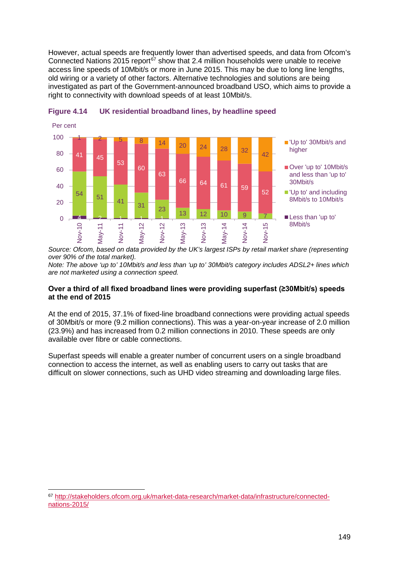However, actual speeds are frequently lower than advertised speeds, and data from Ofcom's Connected Nations 2015 report<sup>[67](#page-14-0)</sup> show that 2.4 million households were unable to receive access line speeds of 10Mbit/s or more in June 2015. This may be due to long line lengths, old wiring or a variety of other factors. Alternative technologies and solutions are being investigated as part of the Government-announced broadband USO, which aims to provide a right to connectivity with download speeds of at least 10Mbit/s.





*Source: Ofcom, based on data provided by the UK's largest ISPs by retail market share (representing over 90% of the total market).*

*Note: The above 'up to' 10Mbit/s and less than 'up to' 30Mbit/s category includes ADSL2+ lines which are not marketed using a connection speed.*

### **Over a third of all fixed broadband lines were providing superfast (≥30Mbit/s) speeds at the end of 2015**

At the end of 2015, 37.1% of fixed-line broadband connections were providing actual speeds of 30Mbit/s or more (9.2 million connections). This was a year-on-year increase of 2.0 million (23.9%) and has increased from 0.2 million connections in 2010. These speeds are only available over fibre or cable connections.

Superfast speeds will enable a greater number of concurrent users on a single broadband connection to access the internet, as well as enabling users to carry out tasks that are difficult on slower connections, such as UHD video streaming and downloading large files.

<span id="page-14-0"></span> <sup>67</sup> [http://stakeholders.ofcom.org.uk/market-data-research/market-data/infrastructure/connected](http://stakeholders.ofcom.org.uk/market-data-research/market-data/infrastructure/connected-nations-2015/)[nations-2015/](http://stakeholders.ofcom.org.uk/market-data-research/market-data/infrastructure/connected-nations-2015/)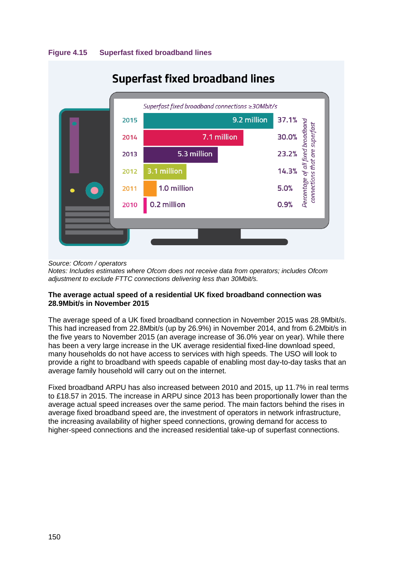



*Source: Ofcom / operators*

*Notes: Includes estimates where Ofcom does not receive data from operators; includes Ofcom adjustment to exclude FTTC connections delivering less than 30Mbit/s.*

## **The average actual speed of a residential UK fixed broadband connection was 28.9Mbit/s in November 2015**

The average speed of a UK fixed broadband connection in November 2015 was 28.9Mbit/s. This had increased from 22.8Mbit/s (up by 26.9%) in November 2014, and from 6.2Mbit/s in the five years to November 2015 (an average increase of 36.0% year on year). While there has been a very large increase in the UK average residential fixed-line download speed, many households do not have access to services with high speeds. The USO will look to provide a right to broadband with speeds capable of enabling most day-to-day tasks that an average family household will carry out on the internet.

Fixed broadband ARPU has also increased between 2010 and 2015, up 11.7% in real terms to £18.57 in 2015. The increase in ARPU since 2013 has been proportionally lower than the average actual speed increases over the same period. The main factors behind the rises in average fixed broadband speed are, the investment of operators in network infrastructure, the increasing availability of higher speed connections, growing demand for access to higher-speed connections and the increased residential take-up of superfast connections.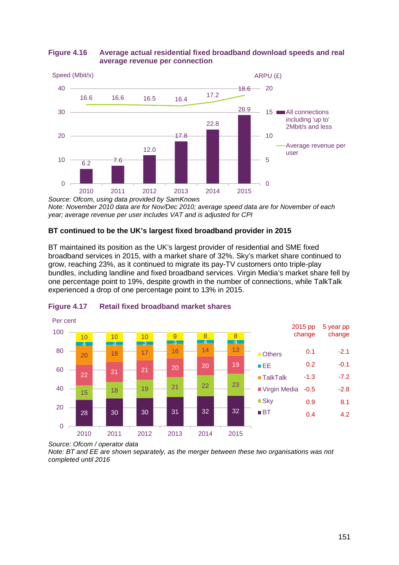

# **Figure 4.16 Average actual residential fixed broadband download speeds and real average revenue per connection**

*Source: Ofcom, using data provided by SamKnows Note: November 2010 data are for Nov/Dec 2010; average speed data are for November of each year; average revenue per user includes VAT and is adjusted for CPI*

# **BT continued to be the UK's largest fixed broadband provider in 2015**

BT maintained its position as the UK's largest provider of residential and SME fixed broadband services in 2015, with a market share of 32%. Sky's market share continued to grow, reaching 23%, as it continued to migrate its pay-TV customers onto triple-play bundles, including landline and fixed broadband services. Virgin Media's market share fell by one percentage point to 19%, despite growth in the number of connections, while TalkTalk experienced a drop of one percentage point to 13% in 2015.



# **Figure 4.17 Retail fixed broadband market shares**

*Note: BT and EE are shown separately, as the merger between these two organisations was not completed until 2016*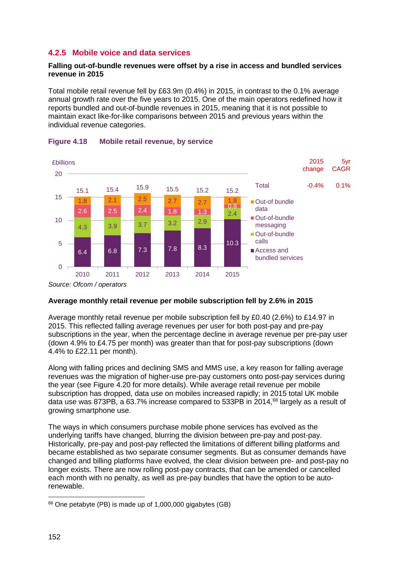# <span id="page-17-0"></span>**4.2.5 Mobile voice and data services**

## **Falling out-of-bundle revenues were offset by a rise in access and bundled services revenue in 2015**

Total mobile retail revenue fell by £63.9m (0.4%) in 2015, in contrast to the 0.1% average annual growth rate over the five years to 2015. One of the main operators redefined how it reports bundled and out-of-bundle revenues in 2015, meaning that it is not possible to maintain exact like-for-like comparisons between 2015 and previous years within the individual revenue categories.



#### **Figure 4.18 Mobile retail revenue, by service**

*Source: Ofcom / operators*

## **Average monthly retail revenue per mobile subscription fell by 2.6% in 2015**

Average monthly retail revenue per mobile subscription fell by £0.40 (2.6%) to £14.97 in 2015. This reflected falling average revenues per user for both post-pay and pre-pay subscriptions in the year, when the percentage decline in average revenue per pre-pay user (down 4.9% to £4.75 per month) was greater than that for post-pay subscriptions (down 4.4% to £22.11 per month).

Along with falling prices and declining SMS and MMS use, a key reason for falling average revenues was the migration of higher-use pre-pay customers onto post-pay services during the year (see [Figure 4.20](#page-18-0) for more details). While average retail revenue per mobile subscription has dropped, data use on mobiles increased rapidly; in 2015 total UK mobile data use was 873PB, a 63.7% increase compared to 533PB in 2014,<sup>[68](#page-17-1)</sup> largely as a result of growing smartphone use.

The ways in which consumers purchase mobile phone services has evolved as the underlying tariffs have changed, blurring the division between pre-pay and post-pay. Historically, pre-pay and post-pay reflected the limitations of different billing platforms and became established as two separate consumer segments. But as consumer demands have changed and billing platforms have evolved, the clear division between pre- and post-pay no longer exists. There are now rolling post-pay contracts, that can be amended or cancelled each month with no penalty, as well as pre-pay bundles that have the option to be autorenewable.

<span id="page-17-1"></span> <sup>68</sup> One petabyte (PB) is made up of 1,000,000 gigabytes (GB)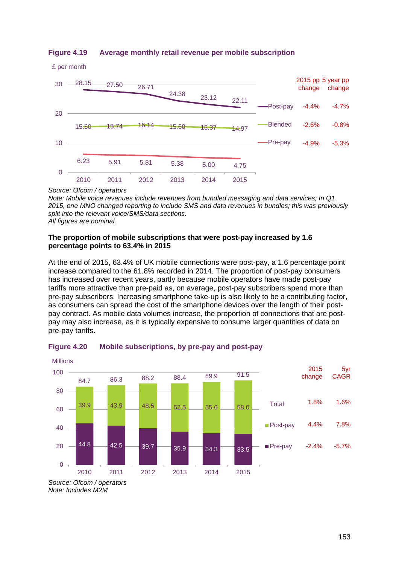

£ per month



#### *Source: Ofcom / operators*

*Note: Mobile voice revenues include revenues from bundled messaging and data services; In Q1 2015, one MNO changed reporting to include SMS and data revenues in bundles; this was previously split into the relevant voice/SMS/data sections. All figures are nominal.*

## **The proportion of mobile subscriptions that were post-pay increased by 1.6 percentage points to 63.4% in 2015**

At the end of 2015, 63.4% of UK mobile connections were post-pay, a 1.6 percentage point increase compared to the 61.8% recorded in 2014. The proportion of post-pay consumers has increased over recent years, partly because mobile operators have made post-pay tariffs more attractive than pre-paid as, on average, post-pay subscribers spend more than pre-pay subscribers. Increasing smartphone take-up is also likely to be a contributing factor, as consumers can spread the cost of the smartphone devices over the length of their postpay contract. As mobile data volumes increase, the proportion of connections that are postpay may also increase, as it is typically expensive to consume larger quantities of data on pre-pay tariffs.



## <span id="page-18-0"></span>**Figure 4.20 Mobile subscriptions, by pre-pay and post-pay**

*Source: Ofcom / operators Note: Includes M2M*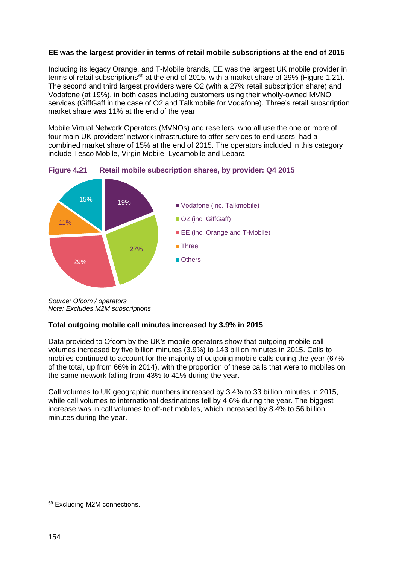## **EE was the largest provider in terms of retail mobile subscriptions at the end of 2015**

Including its legacy Orange, and T-Mobile brands, EE was the largest UK mobile provider in terms of retail subscriptions<sup>[69](#page-19-0)</sup> at the end of 2015, with a market share of 29% (Figure 1.21). The second and third largest providers were O2 (with a 27% retail subscription share) and Vodafone (at 19%), in both cases including customers using their wholly-owned MVNO services (GiffGaff in the case of O2 and Talkmobile for Vodafone). Three's retail subscription market share was 11% at the end of the year.

Mobile Virtual Network Operators (MVNOs) and resellers, who all use the one or more of four main UK providers' network infrastructure to offer services to end users, had a combined market share of 15% at the end of 2015. The operators included in this category include Tesco Mobile, Virgin Mobile, Lycamobile and Lebara.



**Figure 4.21 Retail mobile subscription shares, by provider: Q4 2015**

## **Total outgoing mobile call minutes increased by 3.9% in 2015**

Data provided to Ofcom by the UK's mobile operators show that outgoing mobile call volumes increased by five billion minutes (3.9%) to 143 billion minutes in 2015. Calls to mobiles continued to account for the majority of outgoing mobile calls during the year (67% of the total, up from 66% in 2014), with the proportion of these calls that were to mobiles on the same network falling from 43% to 41% during the year.

Call volumes to UK geographic numbers increased by 3.4% to 33 billion minutes in 2015, while call volumes to international destinations fell by 4.6% during the year. The biggest increase was in call volumes to off-net mobiles, which increased by 8.4% to 56 billion minutes during the year.

*Source: Ofcom / operators Note: Excludes M2M subscriptions*

<span id="page-19-0"></span><sup>69</sup> Excluding M2M connections.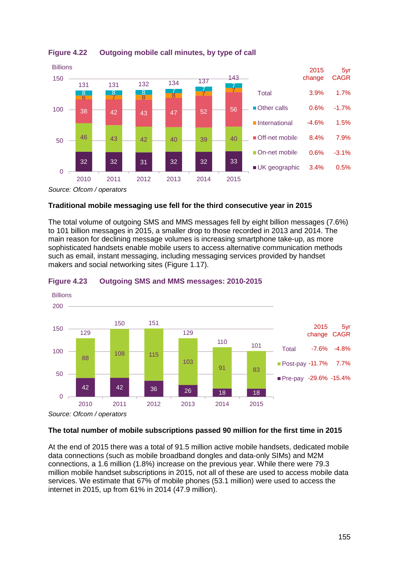

**Figure 4.22 Outgoing mobile call minutes, by type of call**

*Source: Ofcom / operators*

## **Traditional mobile messaging use fell for the third consecutive year in 2015**

The total volume of outgoing SMS and MMS messages fell by eight billion messages (7.6%) to 101 billion messages in 2015, a smaller drop to those recorded in 2013 and 2014. The main reason for declining message volumes is increasing smartphone take-up, as more sophisticated handsets enable mobile users to access alternative communication methods such as email, instant messaging, including messaging services provided by handset makers and social networking sites (Figure 1.17).



## **Figure 4.23 Outgoing SMS and MMS messages: 2010-2015**

## **The total number of mobile subscriptions passed 90 million for the first time in 2015**

At the end of 2015 there was a total of 91.5 million active mobile handsets, dedicated mobile data connections (such as mobile broadband dongles and data-only SIMs) and M2M connections, a 1.6 million (1.8%) increase on the previous year. While there were 79.3 million mobile handset subscriptions in 2015, not all of these are used to access mobile data services. We estimate that 67% of mobile phones (53.1 million) were used to access the internet in 2015, up from 61% in 2014 (47.9 million).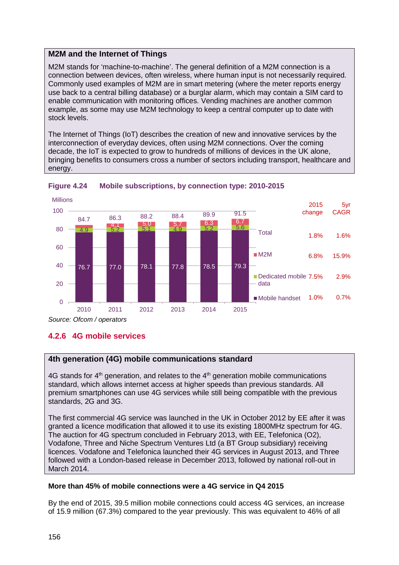## **M2M and the Internet of Things**

M2M stands for 'machine-to-machine'. The general definition of a M2M connection is a connection between devices, often wireless, where human input is not necessarily required. Commonly used examples of M2M are in smart metering (where the meter reports energy use back to a central billing database) or a burglar alarm, which may contain a SIM card to enable communication with monitoring offices. Vending machines are another common example, as some may use M2M technology to keep a central computer up to date with stock levels.

The Internet of Things (IoT) describes the creation of new and innovative services by the interconnection of everyday devices, often using M2M connections. Over the coming decade, the IoT is expected to grow to hundreds of millions of devices in the UK alone, bringing benefits to consumers cross a number of sectors including transport, healthcare and energy.





*Source: Ofcom / operators*

# <span id="page-21-0"></span>**4.2.6 4G mobile services**

# **4th generation (4G) mobile communications standard**

 $4G$  stands for  $4<sup>th</sup>$  generation, and relates to the  $4<sup>th</sup>$  generation mobile communications standard, which allows internet access at higher speeds than previous standards. All premium smartphones can use 4G services while still being compatible with the previous standards, 2G and 3G.

The first commercial 4G service was launched in the UK in October 2012 by EE after it was granted a licence modification that allowed it to use its existing 1800MHz spectrum for 4G. The auction for 4G spectrum concluded in February 2013, with EE, Telefonica (O2), Vodafone, Three and Niche Spectrum Ventures Ltd (a BT Group subsidiary) receiving licences. Vodafone and Telefonica launched their 4G services in August 2013, and Three followed with a London-based release in December 2013, followed by national roll-out in March 2014.

## **More than 45% of mobile connections were a 4G service in Q4 2015**

By the end of 2015, 39.5 million mobile connections could access 4G services, an increase of 15.9 million (67.3%) compared to the year previously. This was equivalent to 46% of all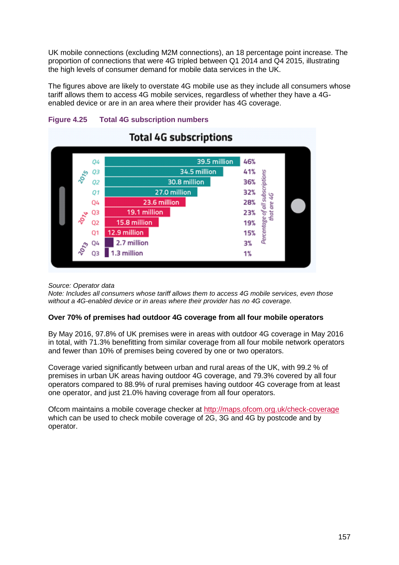UK mobile connections (excluding M2M connections), an 18 percentage point increase. The proportion of connections that were 4G tripled between Q1 2014 and Q4 2015, illustrating the high levels of consumer demand for mobile data services in the UK.

The figures above are likely to overstate 4G mobile use as they include all consumers whose tariff allows them to access 4G mobile services, regardless of whether they have a 4Genabled device or are in an area where their provider has 4G coverage.



# **Figure 4.25 Total 4G subscription numbers**

## *Source: Operator data*

*Note: Includes all consumers whose tariff allows them to access 4G mobile services, even those without a 4G-enabled device or in areas where their provider has no 4G coverage.*

## **Over 70% of premises had outdoor 4G coverage from all four mobile operators**

By May 2016, 97.8% of UK premises were in areas with outdoor 4G coverage in May 2016 in total, with 71.3% benefitting from similar coverage from all four mobile network operators and fewer than 10% of premises being covered by one or two operators.

Coverage varied significantly between urban and rural areas of the UK, with 99.2 % of premises in urban UK areas having outdoor 4G coverage, and 79.3% covered by all four operators compared to 88.9% of rural premises having outdoor 4G coverage from at least one operator, and just 21.0% having coverage from all four operators.

Ofcom maintains a mobile coverage checker at<http://maps.ofcom.org.uk/check-coverage> which can be used to check mobile coverage of 2G, 3G and 4G by postcode and by operator.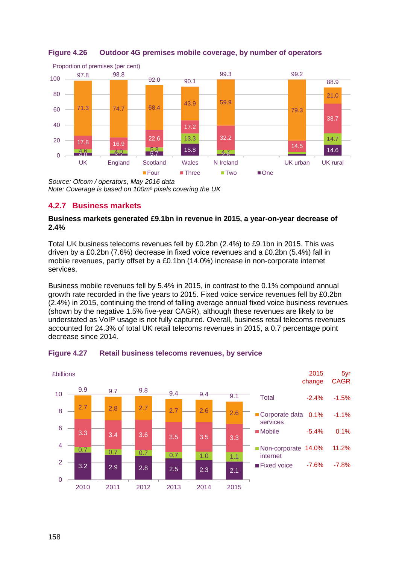

## **Figure 4.26 Outdoor 4G premises mobile coverage, by number of operators**

*Source: Ofcom / operators, May 2016 data Note: Coverage is based on 100m² pixels covering the UK*

# <span id="page-23-0"></span>**4.2.7 Business markets**

## **Business markets generated £9.1bn in revenue in 2015, a year-on-year decrease of 2.4%**

Total UK business telecoms revenues fell by £0.2bn (2.4%) to £9.1bn in 2015. This was driven by a £0.2bn (7.6%) decrease in fixed voice revenues and a £0.2bn (5.4%) fall in mobile revenues, partly offset by a £0.1bn (14.0%) increase in non-corporate internet services.

Business mobile revenues fell by 5.4% in 2015, in contrast to the 0.1% compound annual growth rate recorded in the five years to 2015. Fixed voice service revenues fell by £0.2bn (2.4%) in 2015, continuing the trend of falling average annual fixed voice business revenues (shown by the negative 1.5% five-year CAGR), although these revenues are likely to be understated as VoIP usage is not fully captured. Overall, business retail telecoms revenues accounted for 24.3% of total UK retail telecoms revenues in 2015, a 0.7 percentage point decrease since 2014.



## **Figure 4.27 Retail business telecoms revenues, by service**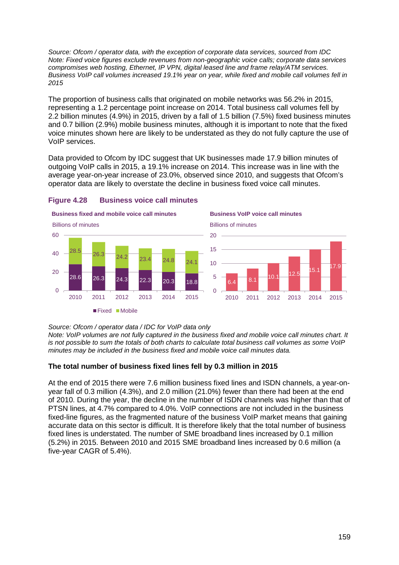*Source: Ofcom / operator data, with the exception of corporate data services, sourced from IDC Note: Fixed voice figures exclude revenues from non-geographic voice calls; corporate data services compromises web hosting, Ethernet, IP VPN, digital leased line and frame relay/ATM services. Business VoIP call volumes increased 19.1% year on year, while fixed and mobile call volumes fell in 2015*

The proportion of business calls that originated on mobile networks was 56.2% in 2015, representing a 1.2 percentage point increase on 2014. Total business call volumes fell by 2.2 billion minutes (4.9%) in 2015, driven by a fall of 1.5 billion (7.5%) fixed business minutes and 0.7 billion (2.9%) mobile business minutes, although it is important to note that the fixed voice minutes shown here are likely to be understated as they do not fully capture the use of VoIP services.

Data provided to Ofcom by IDC suggest that UK businesses made 17.9 billion minutes of outgoing VoIP calls in 2015, a 19.1% increase on 2014. This increase was in line with the average year-on-year increase of 23.0%, observed since 2010, and suggests that Ofcom's operator data are likely to overstate the decline in business fixed voice call minutes.



### **Figure 4.28 Business voice call minutes**

*Source: Ofcom / operator data / IDC for VoIP data only*

*Note: VoIP volumes are not fully captured in the business fixed and mobile voice call minutes chart. It is not possible to sum the totals of both charts to calculate total business call volumes as some VoIP minutes may be included in the business fixed and mobile voice call minutes data.* 

## **The total number of business fixed lines fell by 0.3 million in 2015**

At the end of 2015 there were 7.6 million business fixed lines and ISDN channels, a year-onyear fall of 0.3 million (4.3%), and 2.0 million (21.0%) fewer than there had been at the end of 2010. During the year, the decline in the number of ISDN channels was higher than that of PTSN lines, at 4.7% compared to 4.0%. VoIP connections are not included in the business fixed-line figures, as the fragmented nature of the business VoIP market means that gaining accurate data on this sector is difficult. It is therefore likely that the total number of business fixed lines is understated. The number of SME broadband lines increased by 0.1 million (5.2%) in 2015. Between 2010 and 2015 SME broadband lines increased by 0.6 million (a five-year CAGR of 5.4%).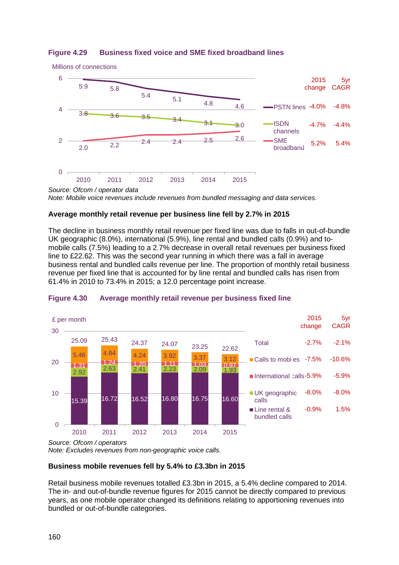

## **Figure 4.29 Business fixed voice and SME fixed broadband lines**

*Source: Ofcom / operator data Note: Mobile voice revenues include revenues from bundled messaging and data services.*

## **Average monthly retail revenue per business line fell by 2.7% in 2015**

The decline in business monthly retail revenue per fixed line was due to falls in out-of-bundle UK geographic (8.0%), international (5.9%), line rental and bundled calls (0.9%) and tomobile calls (7.5%) leading to a 2.7% decrease in overall retail revenues per business fixed line to £22.62. This was the second year running in which there was a fall in average business rental and bundled calls revenue per line. The proportion of monthly retail business revenue per fixed line that is accounted for by line rental and bundled calls has risen from 61.4% in 2010 to 73.4% in 2015; a 12.0 percentage point increase.



#### **Figure 4.30 Average monthly retail revenue per business fixed line**

*Source: Ofcom / operators*

*Note: Excludes revenues from non-geographic voice calls.*

## **Business mobile revenues fell by 5.4% to £3.3bn in 2015**

Retail business mobile revenues totalled £3.3bn in 2015, a 5.4% decline compared to 2014. The in- and out-of-bundle revenue figures for 2015 cannot be directly compared to previous years, as one mobile operator changed its definitions relating to apportioning revenues into bundled or out-of-bundle categories.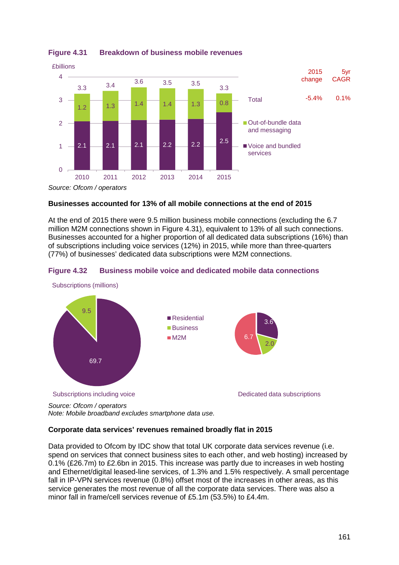

**Figure 4.31 Breakdown of business mobile revenues**

**Businesses accounted for 13% of all mobile connections at the end of 2015**

At the end of 2015 there were 9.5 million business mobile connections (excluding the 6.7 million M2M connections shown in [Figure 4.31\)](#page-26-0), equivalent to 13% of all such connections. Businesses accounted for a higher proportion of all dedicated data subscriptions (16%) than of subscriptions including voice services (12%) in 2015, while more than three-quarters (77%) of businesses' dedicated data subscriptions were M2M connections.

<span id="page-26-0"></span>



*Source: Ofcom / operators Note: Mobile broadband excludes smartphone data use.*

## **Corporate data services' revenues remained broadly flat in 2015**

Data provided to Ofcom by IDC show that total UK corporate data services revenue (i.e. spend on services that connect business sites to each other, and web hosting) increased by 0.1% (£26.7m) to £2.6bn in 2015. This increase was partly due to increases in web hosting and Ethernet/digital leased-line services, of 1.3% and 1.5% respectively. A small percentage fall in IP-VPN services revenue (0.8%) offset most of the increases in other areas, as this service generates the most revenue of all the corporate data services. There was also a minor fall in frame/cell services revenue of £5.1m (53.5%) to £4.4m.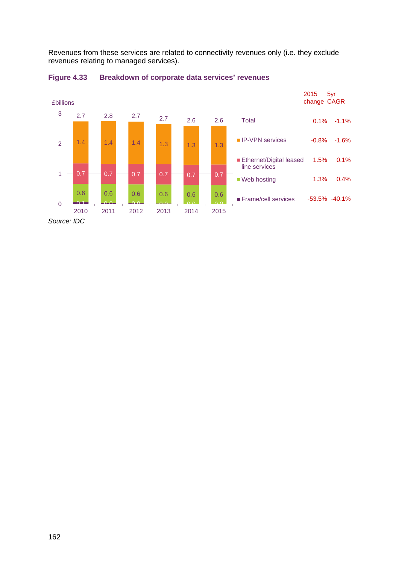Revenues from these services are related to connectivity revenues only (i.e. they exclude revenues relating to managed services).

<span id="page-27-0"></span>

#### **Figure 4.33 Breakdown of corporate data services' revenues**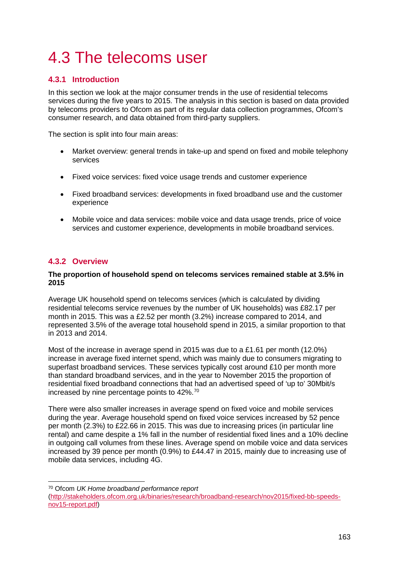# 4.3 The telecoms user

# <span id="page-28-0"></span>**4.3.1 Introduction**

In this section we look at the major consumer trends in the use of residential telecoms services during the five years to 2015. The analysis in this section is based on data provided by telecoms providers to Ofcom as part of its regular data collection programmes, Ofcom's consumer research, and data obtained from third-party suppliers.

The section is split into four main areas:

- Market overview: general trends in take-up and spend on fixed and mobile telephony services
- Fixed voice services: fixed voice usage trends and customer experience
- Fixed broadband services: developments in fixed broadband use and the customer experience
- Mobile voice and data services: mobile voice and data usage trends, price of voice services and customer experience, developments in mobile broadband services.

# <span id="page-28-1"></span>**4.3.2 Overview**

## **The proportion of household spend on telecoms services remained stable at 3.5% in 2015**

Average UK household spend on telecoms services (which is calculated by dividing residential telecoms service revenues by the number of UK households) was £82.17 per month in 2015. This was a £2.52 per month (3.2%) increase compared to 2014, and represented 3.5% of the average total household spend in 2015, a similar proportion to that in 2013 and 2014.

Most of the increase in average spend in 2015 was due to a £1.61 per month (12.0%) increase in average fixed internet spend, which was mainly due to consumers migrating to superfast broadband services. These services typically cost around £10 per month more than standard broadband services, and in the year to November 2015 the proportion of residential fixed broadband connections that had an advertised speed of 'up to' 30Mbit/s increased by nine percentage points to 42%.[70](#page-28-2)

There were also smaller increases in average spend on fixed voice and mobile services during the year. Average household spend on fixed voice services increased by 52 pence per month (2.3%) to £22.66 in 2015. This was due to increasing prices (in particular line rental) and came despite a 1% fall in the number of residential fixed lines and a 10% decline in outgoing call volumes from these lines. Average spend on mobile voice and data services increased by 39 pence per month (0.9%) to £44.47 in 2015, mainly due to increasing use of mobile data services, including 4G.

<span id="page-28-2"></span> <sup>70</sup> Ofcom *UK Home broadband performance report*

[<sup>\(</sup>http://stakeholders.ofcom.org.uk/binaries/research/broadband-research/nov2015/fixed-bb-speeds](http://stakeholders.ofcom.org.uk/binaries/research/broadband-research/nov2015/fixed-bb-speeds-nov15-report.pdf)[nov15-report.pdf\)](http://stakeholders.ofcom.org.uk/binaries/research/broadband-research/nov2015/fixed-bb-speeds-nov15-report.pdf)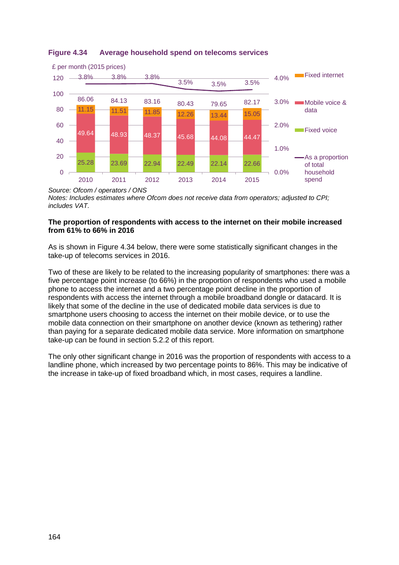

# **Figure 4.34 Average household spend on telecoms services**

*Source: Ofcom / operators / ONS Notes: Includes estimates where Ofcom does not receive data from operators; adjusted to CPI; includes VAT.*

## **The proportion of respondents with access to the internet on their mobile increased from 61% to 66% in 2016**

As is shown in [Figure 4.34](#page-30-0) below, there were some statistically significant changes in the take-up of telecoms services in 2016.

Two of these are likely to be related to the increasing popularity of smartphones: there was a five percentage point increase (to 66%) in the proportion of respondents who used a mobile phone to access the internet and a two percentage point decline in the proportion of respondents with access the internet through a mobile broadband dongle or datacard. It is likely that some of the decline in the use of dedicated mobile data services is due to smartphone users choosing to access the internet on their mobile device, or to use the mobile data connection on their smartphone on another device (known as tethering) rather than paying for a separate dedicated mobile data service. More information on smartphone take-up can be found in section 5.2.2 of this report.

The only other significant change in 2016 was the proportion of respondents with access to a landline phone, which increased by two percentage points to 86%. This may be indicative of the increase in take-up of fixed broadband which, in most cases, requires a landline.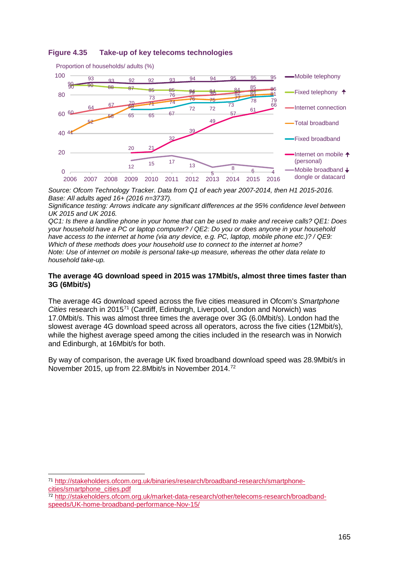

## <span id="page-30-0"></span>**Figure 4.35 Take-up of key telecoms technologies**

*Source: Ofcom Technology Tracker. Data from Q1 of each year 2007-2014, then H1 2015-2016. Base: All adults aged 16+ (2016 n=3737).*

*Significance testing: Arrows indicate any significant differences at the 95% confidence level between UK 2015 and UK 2016.* 

*QC1: Is there a landline phone in your home that can be used to make and receive calls? QE1: Does your household have a PC or laptop computer? / QE2: Do you or does anyone in your household have access to the internet at home (via any device, e.g. PC, laptop, mobile phone etc.)? / QE9: Which of these methods does your household use to connect to the internet at home? Note: Use of internet on mobile is personal take-up measure, whereas the other data relate to household take-up.*

#### **The average 4G download speed in 2015 was 17Mbit/s, almost three times faster than 3G (6Mbit/s)**

The average 4G download speed across the five cities measured in Ofcom's *Smartphone Cities* research in 2015[71](#page-30-1) (Cardiff, Edinburgh, Liverpool, London and Norwich) was 17.0Mbit/s. This was almost three times the average over 3G (6.0Mbit/s). London had the slowest average 4G download speed across all operators, across the five cities (12Mbit/s), while the highest average speed among the cities included in the research was in Norwich and Edinburgh, at 16Mbit/s for both.

By way of comparison, the average UK fixed broadband download speed was 28.9Mbit/s in November 2015, up from 22.8Mbit/s in November 2014.[72](#page-30-2)

<span id="page-30-1"></span> 71 [http://stakeholders.ofcom.org.uk/binaries/research/broadband-research/smartphone](http://stakeholders.ofcom.org.uk/binaries/research/broadband-research/smartphone-cities/smartphone_cities.pdf)[cities/smartphone\\_cities.pdf](http://stakeholders.ofcom.org.uk/binaries/research/broadband-research/smartphone-cities/smartphone_cities.pdf)

<span id="page-30-2"></span><sup>72</sup> [http://stakeholders.ofcom.org.uk/market-data-research/other/telecoms-research/broadband](http://stakeholders.ofcom.org.uk/market-data-research/other/telecoms-research/broadband-speeds/UK-home-broadband-performance-Nov-15/)[speeds/UK-home-broadband-performance-Nov-15/](http://stakeholders.ofcom.org.uk/market-data-research/other/telecoms-research/broadband-speeds/UK-home-broadband-performance-Nov-15/)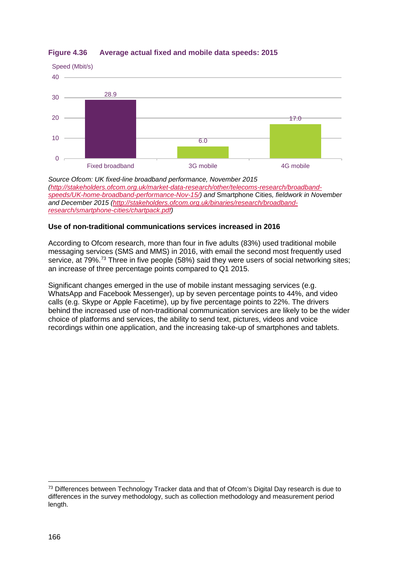

## **Figure 4.36 Average actual fixed and mobile data speeds: 2015**

*Source Ofcom: UK fixed-line broadband performance, November 2015 [\(http://stakeholders.ofcom.org.uk/market-data-research/other/telecoms-research/broadband](http://stakeholders.ofcom.org.uk/market-data-research/other/telecoms-research/broadband-speeds/UK-home-broadband-performance-Nov-15/)[speeds/UK-home-broadband-performance-Nov-15/\)](http://stakeholders.ofcom.org.uk/market-data-research/other/telecoms-research/broadband-speeds/UK-home-broadband-performance-Nov-15/) and* Smartphone Cities*, fieldwork in November and December 2015 [\(http://stakeholders.ofcom.org.uk/binaries/research/broadband](http://stakeholders.ofcom.org.uk/binaries/research/broadband-research/smartphone-cities/chartpack.pdf)[research/smartphone-cities/chartpack.pdf\)](http://stakeholders.ofcom.org.uk/binaries/research/broadband-research/smartphone-cities/chartpack.pdf)*

## **Use of non-traditional communications services increased in 2016**

According to Ofcom research, more than four in five adults (83%) used traditional mobile messaging services (SMS and MMS) in 2016, with email the second most frequently used service, at 79%.<sup>[73](#page-31-0)</sup> Three in five people (58%) said they were users of social networking sites; an increase of three percentage points compared to Q1 2015.

Significant changes emerged in the use of mobile instant messaging services (e.g. WhatsApp and Facebook Messenger), up by seven percentage points to 44%, and video calls (e.g. Skype or Apple Facetime), up by five percentage points to 22%. The drivers behind the increased use of non-traditional communication services are likely to be the wider choice of platforms and services, the ability to send text, pictures, videos and voice recordings within one application, and the increasing take-up of smartphones and tablets.

<span id="page-31-0"></span><sup>&</sup>lt;sup>73</sup> Differences between Technology Tracker data and that of Ofcom's Digital Day research is due to differences in the survey methodology, such as collection methodology and measurement period length.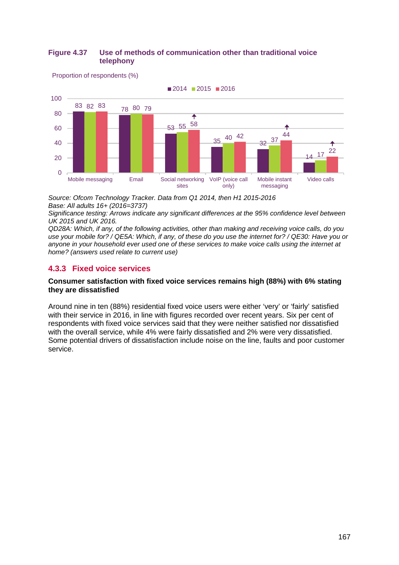## **Figure 4.37 Use of methods of communication other than traditional voice telephony**

Proportion of respondents (%)



*Source: Ofcom Technology Tracker. Data from Q1 2014, then H1 2015-2016 Base: All adults 16+ (2016=3737)*

*Significance testing: Arrows indicate any significant differences at the 95% confidence level between UK 2015 and UK 2016.* 

*QD28A: Which, if any, of the following activities, other than making and receiving voice calls, do you use your mobile for? / QE5A: Which, if any, of these do you use the internet for? / QE30: Have you or anyone in your household ever used one of these services to make voice calls using the internet at home? (answers used relate to current use)*

## <span id="page-32-0"></span>**4.3.3 Fixed voice services**

### **Consumer satisfaction with fixed voice services remains high (88%) with 6% stating they are dissatisfied**

Around nine in ten (88%) residential fixed voice users were either 'very' or 'fairly' satisfied with their service in 2016, in line with figures recorded over recent years. Six per cent of respondents with fixed voice services said that they were neither satisfied nor dissatisfied with the overall service, while 4% were fairly dissatisfied and 2% were very dissatisfied. Some potential drivers of dissatisfaction include noise on the line, faults and poor customer service.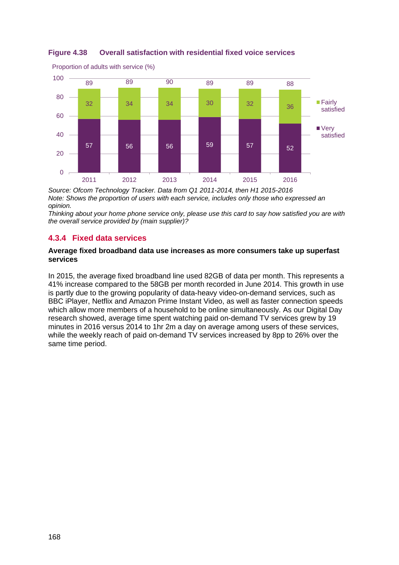

# **Figure 4.38 Overall satisfaction with residential fixed voice services**

*Source: Ofcom Technology Tracker. Data from Q1 2011-2014, then H1 2015-2016 Note: Shows the proportion of users with each service, includes only those who expressed an opinion.*

*Thinking about your home phone service only, please use this card to say how satisfied you are with the overall service provided by (main supplier)?*

# <span id="page-33-0"></span>**4.3.4 Fixed data services**

Proportion of adults with service (%)

## **Average fixed broadband data use increases as more consumers take up superfast services**

In 2015, the average fixed broadband line used 82GB of data per month. This represents a 41% increase compared to the 58GB per month recorded in June 2014. This growth in use is partly due to the growing popularity of data-heavy video-on-demand services, such as BBC iPlayer, Netflix and Amazon Prime Instant Video, as well as faster connection speeds which allow more members of a household to be online simultaneously. As our Digital Day research showed, average time spent watching paid on-demand TV services grew by 19 minutes in 2016 versus 2014 to 1hr 2m a day on average among users of these services, while the weekly reach of paid on-demand TV services increased by 8pp to 26% over the same time period.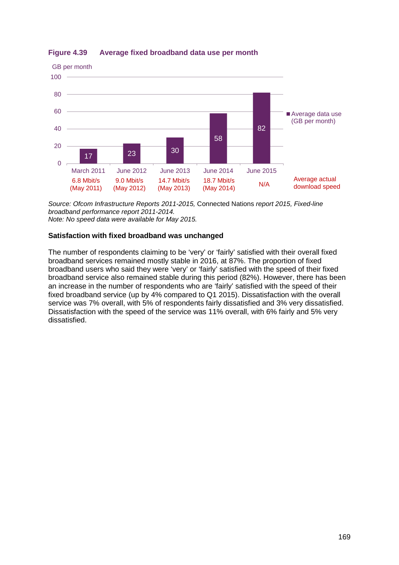

**Figure 4.39 Average fixed broadband data use per month**

*Source: Ofcom Infrastructure Reports 2011-2015,* Connected Nations *report 2015, Fixed-line broadband performance report 2011-2014. Note: No speed data were available for May 2015.*

## **Satisfaction with fixed broadband was unchanged**

The number of respondents claiming to be 'very' or 'fairly' satisfied with their overall fixed broadband services remained mostly stable in 2016, at 87%. The proportion of fixed broadband users who said they were 'very' or 'fairly' satisfied with the speed of their fixed broadband service also remained stable during this period (82%). However, there has been an increase in the number of respondents who are 'fairly' satisfied with the speed of their fixed broadband service (up by 4% compared to Q1 2015). Dissatisfaction with the overall service was 7% overall, with 5% of respondents fairly dissatisfied and 3% very dissatisfied. Dissatisfaction with the speed of the service was 11% overall, with 6% fairly and 5% very dissatisfied.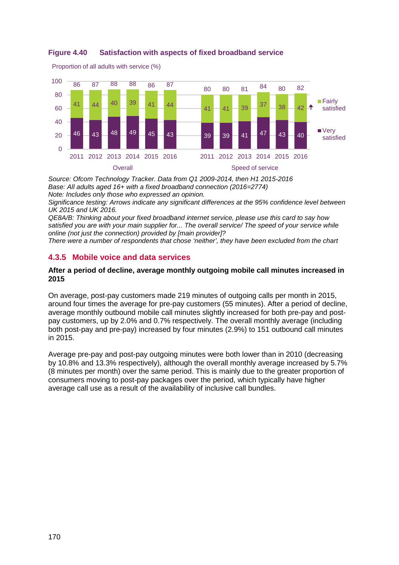



*Source: Ofcom Technology Tracker. Data from Q1 2009-2014, then H1 2015-2016 Base: All adults aged 16+ with a fixed broadband connection (2016=2774) Note: Includes only those who expressed an opinion.*

*Significance testing: Arrows indicate any significant differences at the 95% confidence level between UK 2015 and UK 2016.* 

*QE8A/B: Thinking about your fixed broadband internet service, please use this card to say how satisfied you are with your main supplier for... The overall service/ The speed of your service while online (not just the connection) provided by [main provider]?*

*There were a number of respondents that chose 'neither', they have been excluded from the chart*

# <span id="page-35-0"></span>**4.3.5 Mobile voice and data services**

### **After a period of decline, average monthly outgoing mobile call minutes increased in 2015**

On average, post-pay customers made 219 minutes of outgoing calls per month in 2015, around four times the average for pre-pay customers (55 minutes). After a period of decline, average monthly outbound mobile call minutes slightly increased for both pre-pay and postpay customers, up by 2.0% and 0.7% respectively. The overall monthly average (including both post-pay and pre-pay) increased by four minutes (2.9%) to 151 outbound call minutes in 2015.

Average pre-pay and post-pay outgoing minutes were both lower than in 2010 (decreasing by 10.8% and 13.3% respectively), although the overall monthly average increased by 5.7% (8 minutes per month) over the same period. This is mainly due to the greater proportion of consumers moving to post-pay packages over the period, which typically have higher average call use as a result of the availability of inclusive call bundles.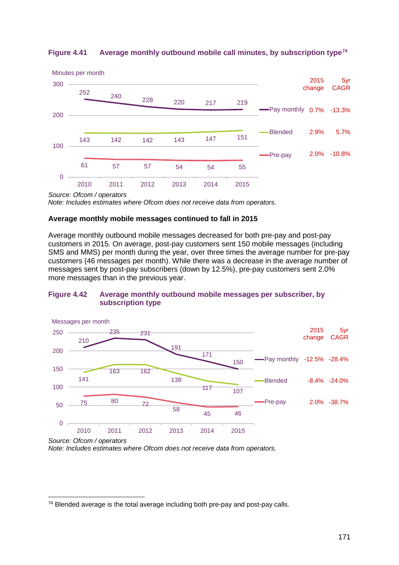

## **Figure 4.41 Average monthly outbound mobile call minutes, by subscription type[74](#page-36-0)**

*Source: Ofcom / operators*

*Note: Includes estimates where Ofcom does not receive data from operators.*

### **Average monthly mobile messages continued to fall in 2015**

Average monthly outbound mobile messages decreased for both pre-pay and post-pay customers in 2015. On average, post-pay customers sent 150 mobile messages (including SMS and MMS) per month during the year, over three times the average number for pre-pay customers (46 messages per month). While there was a decrease in the average number of messages sent by post-pay subscribers (down by 12.5%), pre-pay customers sent 2.0% more messages than in the previous year.

### **Figure 4.42 Average monthly outbound mobile messages per subscriber, by subscription type**



*Source: Ofcom / operators*

*Note: Includes estimates where Ofcom does not receive data from operators.*

<span id="page-36-0"></span><sup>&</sup>lt;sup>74</sup> Blended average is the total average including both pre-pay and post-pay calls.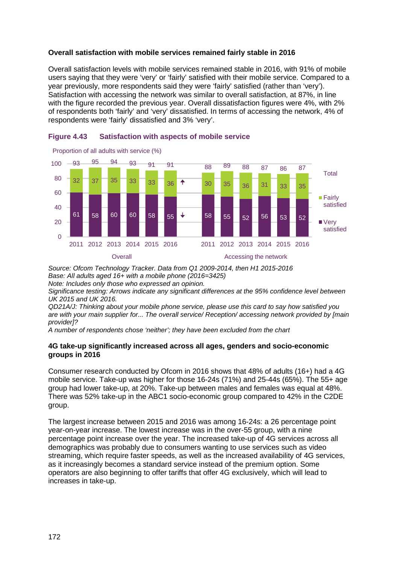## **Overall satisfaction with mobile services remained fairly stable in 2016**

Overall satisfaction levels with mobile services remained stable in 2016, with 91% of mobile users saying that they were 'very' or 'fairly' satisfied with their mobile service. Compared to a year previously, more respondents said they were 'fairly' satisfied (rather than 'very'). Satisfaction with accessing the network was similar to overall satisfaction, at 87%, in line with the figure recorded the previous year. Overall dissatisfaction figures were 4%, with 2% of respondents both 'fairly' and 'very' dissatisfied. In terms of accessing the network, 4% of respondents were 'fairly' dissatisfied and 3% 'very'.



## **Figure 4.43 Satisfaction with aspects of mobile service**

*Source: Ofcom Technology Tracker. Data from Q1 2009-2014, then H1 2015-2016 Base: All adults aged 16+ with a mobile phone (2016=3425) Note: Includes only those who expressed an opinion.*

*Significance testing: Arrows indicate any significant differences at the 95% confidence level between UK 2015 and UK 2016.* 

*QD21A/J: Thinking about your mobile phone service, please use this card to say how satisfied you are with your main supplier for... The overall service/ Reception/ accessing network provided by [main provider]?*

*A number of respondents chose 'neither'; they have been excluded from the chart*

## **4G take-up significantly increased across all ages, genders and socio-economic groups in 2016**

Consumer research conducted by Ofcom in 2016 shows that 48% of adults (16+) had a 4G mobile service. Take-up was higher for those 16-24s (71%) and 25-44s (65%). The 55+ age group had lower take-up, at 20%. Take-up between males and females was equal at 48%. There was 52% take-up in the ABC1 socio-economic group compared to 42% in the C2DE group.

The largest increase between 2015 and 2016 was among 16-24s: a 26 percentage point year-on-year increase. The lowest increase was in the over-55 group, with a nine percentage point increase over the year. The increased take-up of 4G services across all demographics was probably due to consumers wanting to use services such as video streaming, which require faster speeds, as well as the increased availability of 4G services, as it increasingly becomes a standard service instead of the premium option. Some operators are also beginning to offer tariffs that offer 4G exclusively, which will lead to increases in take-up.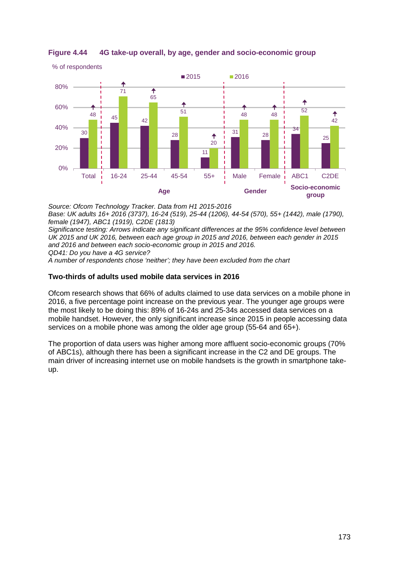

## **Figure 4.44 4G take-up overall, by age, gender and socio-economic group**

*Source: Ofcom Technology Tracker. Data from H1 2015-2016*

*Base: UK adults 16+ 2016 (3737), 16-24 (519), 25-44 (1206), 44-54 (570), 55+ (1442), male (1790), female (1947), ABC1 (1919), C2DE (1813)*

*Significance testing: Arrows indicate any significant differences at the 95% confidence level between UK 2015 and UK 2016, between each age group in 2015 and 2016, between each gender in 2015 and 2016 and between each socio-economic group in 2015 and 2016. QD41: Do you have a 4G service?*

*A number of respondents chose 'neither'; they have been excluded from the chart*

## **Two-thirds of adults used mobile data services in 2016**

Ofcom research shows that 66% of adults claimed to use data services on a mobile phone in 2016, a five percentage point increase on the previous year. The younger age groups were the most likely to be doing this: 89% of 16-24s and 25-34s accessed data services on a mobile handset. However, the only significant increase since 2015 in people accessing data services on a mobile phone was among the older age group (55-64 and 65+).

The proportion of data users was higher among more affluent socio-economic groups (70% of ABC1s), although there has been a significant increase in the C2 and DE groups. The main driver of increasing internet use on mobile handsets is the growth in smartphone takeup.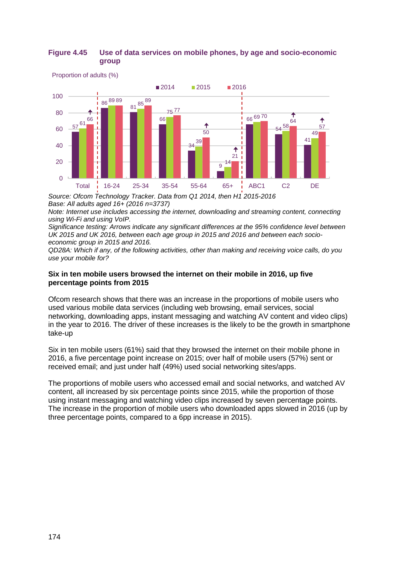## **Figure 4.45 Use of data services on mobile phones, by age and socio-economic group**



Proportion of adults (%)

*Source: Ofcom Technology Tracker. Data from Q1 2014, then H1 2015-2016 Base: All adults aged 16+ (2016 n=3737)*

*Note: Internet use includes accessing the internet, downloading and streaming content, connecting using Wi-Fi and using VoIP.*

*Significance testing: Arrows indicate any significant differences at the 95% confidence level between UK 2015 and UK 2016, between each age group in 2015 and 2016 and between each socioeconomic group in 2015 and 2016.* 

*QD28A: Which if any, of the following activities, other than making and receiving voice calls, do you use your mobile for?*

## **Six in ten mobile users browsed the internet on their mobile in 2016, up five percentage points from 2015**

Ofcom research shows that there was an increase in the proportions of mobile users who used various mobile data services (including web browsing, email services, social networking, downloading apps, instant messaging and watching AV content and video clips) in the year to 2016. The driver of these increases is the likely to be the growth in smartphone take-up

Six in ten mobile users (61%) said that they browsed the internet on their mobile phone in 2016, a five percentage point increase on 2015; over half of mobile users (57%) sent or received email; and just under half (49%) used social networking sites/apps.

The proportions of mobile users who accessed email and social networks, and watched AV content, all increased by six percentage points since 2015, while the proportion of those using instant messaging and watching video clips increased by seven percentage points. The increase in the proportion of mobile users who downloaded apps slowed in 2016 (up by three percentage points, compared to a 6pp increase in 2015).